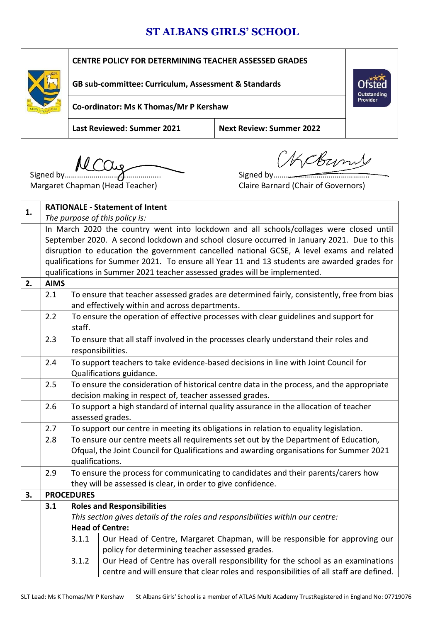## **ST ALBANS GIRLS' SCHOOL**

| <b>CENTRE POLICY FOR DETERMINING TEACHER ASSESSED GRADES</b> |                                 |                         |  |  |
|--------------------------------------------------------------|---------------------------------|-------------------------|--|--|
| GB sub-committee: Curriculum, Assessment & Standards         |                                 |                         |  |  |
| Co-ordinator: Ms K Thomas/Mr P Kershaw                       |                                 | Outstanding<br>Provider |  |  |
| <b>Last Reviewed: Summer 2021</b>                            | <b>Next Review: Summer 2022</b> |                         |  |  |
|                                                              | MKER                            |                         |  |  |

Signed by……………………………………….. Signed by………………………………………..

Margaret Chapman (Head Teacher) Claire Barnard (Chair of Governors)

| 1. |                                                                                            |                   | <b>RATIONALE - Statement of Intent</b>                                                       |
|----|--------------------------------------------------------------------------------------------|-------------------|----------------------------------------------------------------------------------------------|
|    |                                                                                            |                   | The purpose of this policy is:                                                               |
|    |                                                                                            |                   | In March 2020 the country went into lockdown and all schools/collages were closed until      |
|    | September 2020. A second lockdown and school closure occurred in January 2021. Due to this |                   |                                                                                              |
|    |                                                                                            |                   | disruption to education the government cancelled national GCSE, A level exams and related    |
|    |                                                                                            |                   | qualifications for Summer 2021. To ensure all Year 11 and 13 students are awarded grades for |
|    |                                                                                            |                   | qualifications in Summer 2021 teacher assessed grades will be implemented.                   |
| 2. | <b>AIMS</b>                                                                                |                   |                                                                                              |
|    | 2.1                                                                                        |                   | To ensure that teacher assessed grades are determined fairly, consistently, free from bias   |
|    |                                                                                            |                   | and effectively within and across departments.                                               |
|    | 2.2                                                                                        |                   | To ensure the operation of effective processes with clear guidelines and support for         |
|    |                                                                                            | staff.            |                                                                                              |
|    | 2.3                                                                                        |                   | To ensure that all staff involved in the processes clearly understand their roles and        |
|    |                                                                                            |                   | responsibilities.                                                                            |
|    | 2.4                                                                                        |                   | To support teachers to take evidence-based decisions in line with Joint Council for          |
|    |                                                                                            |                   | Qualifications guidance.                                                                     |
|    | 2.5                                                                                        |                   | To ensure the consideration of historical centre data in the process, and the appropriate    |
|    |                                                                                            |                   | decision making in respect of, teacher assessed grades.                                      |
|    | 2.6                                                                                        |                   | To support a high standard of internal quality assurance in the allocation of teacher        |
|    |                                                                                            | assessed grades.  |                                                                                              |
|    | 2.7                                                                                        |                   | To support our centre in meeting its obligations in relation to equality legislation.        |
|    | 2.8                                                                                        |                   | To ensure our centre meets all requirements set out by the Department of Education,          |
|    |                                                                                            |                   | Ofqual, the Joint Council for Qualifications and awarding organisations for Summer 2021      |
|    |                                                                                            | qualifications.   |                                                                                              |
|    | 2.9                                                                                        |                   | To ensure the process for communicating to candidates and their parents/carers how           |
|    |                                                                                            |                   | they will be assessed is clear, in order to give confidence.                                 |
| 3. |                                                                                            | <b>PROCEDURES</b> |                                                                                              |
|    | 3.1                                                                                        |                   | <b>Roles and Responsibilities</b>                                                            |
|    |                                                                                            |                   | This section gives details of the roles and responsibilities within our centre:              |
|    |                                                                                            |                   | <b>Head of Centre:</b>                                                                       |
|    |                                                                                            | 3.1.1             | Our Head of Centre, Margaret Chapman, will be responsible for approving our                  |
|    |                                                                                            |                   | policy for determining teacher assessed grades.                                              |
|    |                                                                                            | 3.1.2             | Our Head of Centre has overall responsibility for the school as an examinations              |
|    |                                                                                            |                   | centre and will ensure that clear roles and responsibilities of all staff are defined.       |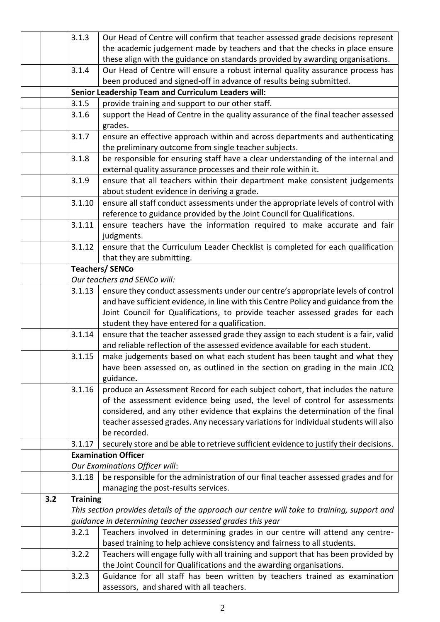|     | 3.1.3           | Our Head of Centre will confirm that teacher assessed grade decisions represent                                                                                     |
|-----|-----------------|---------------------------------------------------------------------------------------------------------------------------------------------------------------------|
|     |                 | the academic judgement made by teachers and that the checks in place ensure                                                                                         |
|     |                 | these align with the guidance on standards provided by awarding organisations.                                                                                      |
|     | 3.1.4           | Our Head of Centre will ensure a robust internal quality assurance process has                                                                                      |
|     |                 | been produced and signed-off in advance of results being submitted.                                                                                                 |
|     |                 | Senior Leadership Team and Curriculum Leaders will:                                                                                                                 |
|     | 3.1.5           | provide training and support to our other staff.                                                                                                                    |
|     | 3.1.6           | support the Head of Centre in the quality assurance of the final teacher assessed                                                                                   |
|     |                 | grades.                                                                                                                                                             |
|     | 3.1.7           | ensure an effective approach within and across departments and authenticating                                                                                       |
|     |                 | the preliminary outcome from single teacher subjects.                                                                                                               |
|     | 3.1.8           | be responsible for ensuring staff have a clear understanding of the internal and                                                                                    |
|     |                 | external quality assurance processes and their role within it.                                                                                                      |
|     | 3.1.9           | ensure that all teachers within their department make consistent judgements                                                                                         |
|     |                 | about student evidence in deriving a grade.                                                                                                                         |
|     | 3.1.10          | ensure all staff conduct assessments under the appropriate levels of control with                                                                                   |
|     |                 | reference to guidance provided by the Joint Council for Qualifications.                                                                                             |
|     | 3.1.11          | ensure teachers have the information required to make accurate and fair                                                                                             |
|     |                 | judgments.                                                                                                                                                          |
|     | 3.1.12          | ensure that the Curriculum Leader Checklist is completed for each qualification                                                                                     |
|     |                 | that they are submitting.                                                                                                                                           |
|     |                 | <b>Teachers/SENCo</b>                                                                                                                                               |
|     |                 | Our teachers and SENCo will:                                                                                                                                        |
|     | 3.1.13          | ensure they conduct assessments under our centre's appropriate levels of control                                                                                    |
|     |                 | and have sufficient evidence, in line with this Centre Policy and guidance from the                                                                                 |
|     |                 | Joint Council for Qualifications, to provide teacher assessed grades for each                                                                                       |
|     | 3.1.14          | student they have entered for a qualification.                                                                                                                      |
|     |                 | ensure that the teacher assessed grade they assign to each student is a fair, valid<br>and reliable reflection of the assessed evidence available for each student. |
|     | 3.1.15          | make judgements based on what each student has been taught and what they                                                                                            |
|     |                 | have been assessed on, as outlined in the section on grading in the main JCQ                                                                                        |
|     |                 | guidance.                                                                                                                                                           |
|     | 3.1.16          | produce an Assessment Record for each subject cohort, that includes the nature                                                                                      |
|     |                 | of the assessment evidence being used, the level of control for assessments                                                                                         |
|     |                 | considered, and any other evidence that explains the determination of the final                                                                                     |
|     |                 | teacher assessed grades. Any necessary variations for individual students will also                                                                                 |
|     |                 | be recorded.                                                                                                                                                        |
|     | 3.1.17          | securely store and be able to retrieve sufficient evidence to justify their decisions.                                                                              |
|     |                 | <b>Examination Officer</b>                                                                                                                                          |
|     |                 | Our Examinations Officer will:                                                                                                                                      |
|     | 3.1.18          | be responsible for the administration of our final teacher assessed grades and for                                                                                  |
|     |                 | managing the post-results services.                                                                                                                                 |
| 3.2 | <b>Training</b> |                                                                                                                                                                     |
|     |                 | This section provides details of the approach our centre will take to training, support and                                                                         |
|     |                 | guidance in determining teacher assessed grades this year                                                                                                           |
|     | 3.2.1           | Teachers involved in determining grades in our centre will attend any centre-                                                                                       |
|     |                 | based training to help achieve consistency and fairness to all students.                                                                                            |
|     | 3.2.2           | Teachers will engage fully with all training and support that has been provided by                                                                                  |
|     |                 | the Joint Council for Qualifications and the awarding organisations.                                                                                                |
|     | 3.2.3           | Guidance for all staff has been written by teachers trained as examination                                                                                          |
|     |                 | assessors, and shared with all teachers.                                                                                                                            |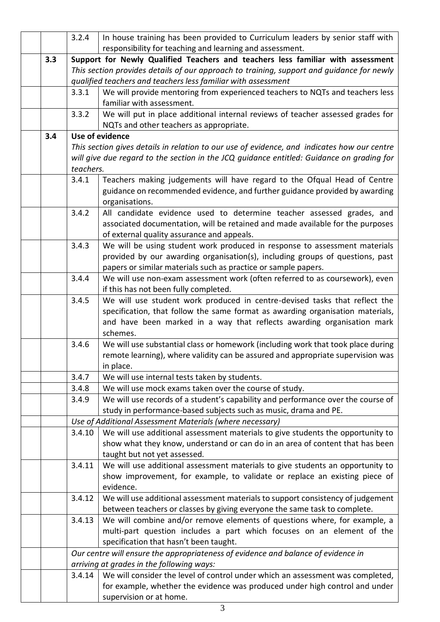|     | 3.2.4     | In house training has been provided to Curriculum leaders by senior staff with                                                                                   |
|-----|-----------|------------------------------------------------------------------------------------------------------------------------------------------------------------------|
|     |           | responsibility for teaching and learning and assessment.                                                                                                         |
| 3.3 |           | Support for Newly Qualified Teachers and teachers less familiar with assessment                                                                                  |
|     |           | This section provides details of our approach to training, support and guidance for newly                                                                        |
|     |           | qualified teachers and teachers less familiar with assessment                                                                                                    |
|     | 3.3.1     | We will provide mentoring from experienced teachers to NQTs and teachers less                                                                                    |
|     |           | familiar with assessment.                                                                                                                                        |
|     | 3.3.2     | We will put in place additional internal reviews of teacher assessed grades for                                                                                  |
|     |           | NQTs and other teachers as appropriate.                                                                                                                          |
| 3.4 |           | Use of evidence                                                                                                                                                  |
|     |           | This section gives details in relation to our use of evidence, and indicates how our centre                                                                      |
|     | teachers. | will give due regard to the section in the JCQ guidance entitled: Guidance on grading for                                                                        |
|     | 3.4.1     | Teachers making judgements will have regard to the Ofqual Head of Centre                                                                                         |
|     |           | guidance on recommended evidence, and further guidance provided by awarding                                                                                      |
|     |           | organisations.                                                                                                                                                   |
|     | 3.4.2     | All candidate evidence used to determine teacher assessed grades, and                                                                                            |
|     |           | associated documentation, will be retained and made available for the purposes                                                                                   |
|     |           | of external quality assurance and appeals.                                                                                                                       |
|     | 3.4.3     | We will be using student work produced in response to assessment materials                                                                                       |
|     |           | provided by our awarding organisation(s), including groups of questions, past                                                                                    |
|     |           | papers or similar materials such as practice or sample papers.                                                                                                   |
|     | 3.4.4     | We will use non-exam assessment work (often referred to as coursework), even                                                                                     |
|     |           | if this has not been fully completed.                                                                                                                            |
|     | 3.4.5     | We will use student work produced in centre-devised tasks that reflect the                                                                                       |
|     |           | specification, that follow the same format as awarding organisation materials,                                                                                   |
|     |           | and have been marked in a way that reflects awarding organisation mark                                                                                           |
|     |           | schemes.                                                                                                                                                         |
|     | 3.4.6     | We will use substantial class or homework (including work that took place during                                                                                 |
|     |           | remote learning), where validity can be assured and appropriate supervision was                                                                                  |
|     |           | in place.                                                                                                                                                        |
|     | 3.4.7     | We will use internal tests taken by students.                                                                                                                    |
|     | 3.4.8     | We will use mock exams taken over the course of study.                                                                                                           |
|     | 3.4.9     | We will use records of a student's capability and performance over the course of                                                                                 |
|     |           | study in performance-based subjects such as music, drama and PE.                                                                                                 |
|     |           | Use of Additional Assessment Materials (where necessary)                                                                                                         |
|     | 3.4.10    | We will use additional assessment materials to give students the opportunity to<br>show what they know, understand or can do in an area of content that has been |
|     |           | taught but not yet assessed.                                                                                                                                     |
|     | 3.4.11    | We will use additional assessment materials to give students an opportunity to                                                                                   |
|     |           | show improvement, for example, to validate or replace an existing piece of                                                                                       |
|     |           | evidence.                                                                                                                                                        |
|     | 3.4.12    | We will use additional assessment materials to support consistency of judgement                                                                                  |
|     |           | between teachers or classes by giving everyone the same task to complete.                                                                                        |
|     | 3.4.13    | We will combine and/or remove elements of questions where, for example, a                                                                                        |
|     |           | multi-part question includes a part which focuses on an element of the                                                                                           |
|     |           | specification that hasn't been taught.                                                                                                                           |
|     |           | Our centre will ensure the appropriateness of evidence and balance of evidence in                                                                                |
|     |           | arriving at grades in the following ways:                                                                                                                        |
|     | 3.4.14    | We will consider the level of control under which an assessment was completed,                                                                                   |
|     |           | for example, whether the evidence was produced under high control and under                                                                                      |
|     |           | supervision or at home.                                                                                                                                          |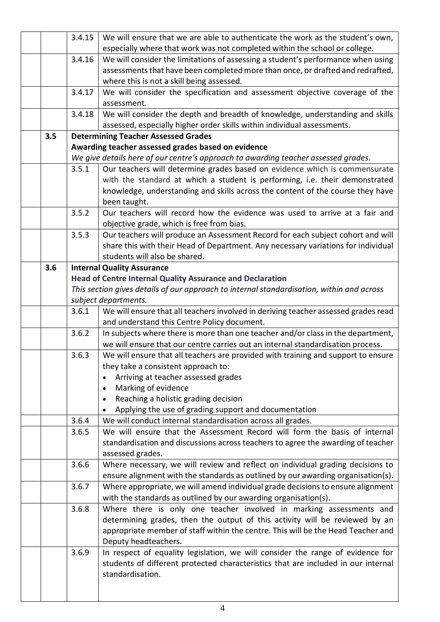|     | 3.4.15 | We will ensure that we are able to authenticate the work as the student's own,            |
|-----|--------|-------------------------------------------------------------------------------------------|
|     |        | especially where that work was not completed within the school or college.                |
|     | 3.4.16 | We will consider the limitations of assessing a student's performance when using          |
|     |        | assessments that have been completed more than once, or drafted and redrafted,            |
|     |        | where this is not a skill being assessed.                                                 |
|     | 3.4.17 | We will consider the specification and assessment objective coverage of the               |
|     |        | assessment.                                                                               |
|     | 3.4.18 | We will consider the depth and breadth of knowledge, understanding and skills             |
|     |        | assessed, especially higher order skills within individual assessments.                   |
| 3.5 |        | <b>Determining Teacher Assessed Grades</b>                                                |
|     |        | Awarding teacher assessed grades based on evidence                                        |
|     |        | We give details here of our centre's approach to awarding teacher assessed grades.        |
|     | 3.5.1  | Our teachers will determine grades based on evidence which is commensurate                |
|     |        | with the standard at which a student is performing, i.e. their demonstrated               |
|     |        | knowledge, understanding and skills across the content of the course they have            |
|     |        | been taught.                                                                              |
|     | 3.5.2  | Our teachers will record how the evidence was used to arrive at a fair and                |
|     |        | objective grade, which is free from bias.                                                 |
|     | 3.5.3  | Our teachers will produce an Assessment Record for each subject cohort and will           |
|     |        | share this with their Head of Department. Any necessary variations for individual         |
|     |        | students will also be shared.                                                             |
| 3.6 |        | <b>Internal Quality Assurance</b>                                                         |
|     |        | <b>Head of Centre Internal Quality Assurance and Declaration</b>                          |
|     |        | This section gives details of our approach to internal standardisation, within and across |
|     |        | subject departments.                                                                      |
|     | 3.6.1  | We will ensure that all teachers involved in deriving teacher assessed grades read        |
|     |        | and understand this Centre Policy document.                                               |
|     | 3.6.2  | In subjects where there is more than one teacher and/or class in the department,          |
|     |        | we will ensure that our centre carries out an internal standardisation process.           |
|     | 3.6.3  | We will ensure that all teachers are provided with training and support to ensure         |
|     |        | they take a consistent approach to:                                                       |
|     |        | Arriving at teacher assessed grades                                                       |
|     |        | Marking of evidence<br>$\bullet$                                                          |
|     |        | Reaching a holistic grading decision<br>$\bullet$                                         |
|     |        | Applying the use of grading support and documentation                                     |
|     | 3.6.4  | We will conduct internal standardisation across all grades.                               |
|     | 3.6.5  | We will ensure that the Assessment Record will form the basis of internal                 |
|     |        | standardisation and discussions across teachers to agree the awarding of teacher          |
|     |        | assessed grades.                                                                          |
|     | 3.6.6  | Where necessary, we will review and reflect on individual grading decisions to            |
|     |        | ensure alignment with the standards as outlined by our awarding organisation(s).          |
|     | 3.6.7  | Where appropriate, we will amend individual grade decisions to ensure alignment           |
|     |        | with the standards as outlined by our awarding organisation(s).                           |
|     | 3.6.8  | Where there is only one teacher involved in marking assessments and                       |
|     |        | determining grades, then the output of this activity will be reviewed by an               |
|     |        | appropriate member of staff within the centre. This will be the Head Teacher and          |
|     |        | Deputy headteachers.                                                                      |
|     | 3.6.9  | In respect of equality legislation, we will consider the range of evidence for            |
|     |        | students of different protected characteristics that are included in our internal         |
|     |        | standardisation.                                                                          |
|     |        |                                                                                           |
|     |        |                                                                                           |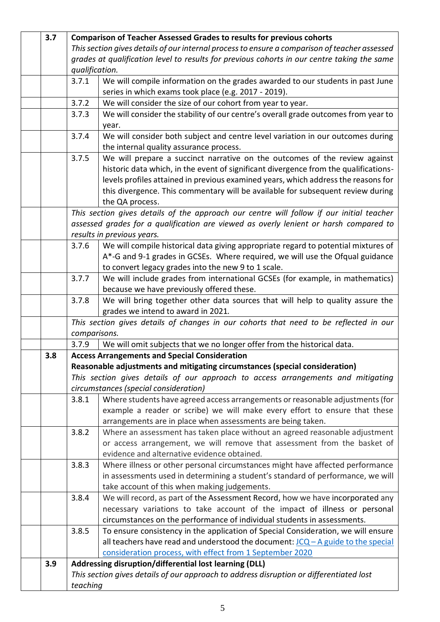| 3.7 |                | <b>Comparison of Teacher Assessed Grades to results for previous cohorts</b>                  |
|-----|----------------|-----------------------------------------------------------------------------------------------|
|     |                | This section gives details of our internal process to ensure a comparison of teacher assessed |
|     |                | grades at qualification level to results for previous cohorts in our centre taking the same   |
|     | qualification. |                                                                                               |
|     | 3.7.1          | We will compile information on the grades awarded to our students in past June                |
|     |                | series in which exams took place (e.g. 2017 - 2019).                                          |
|     | 3.7.2          | We will consider the size of our cohort from year to year.                                    |
|     | 3.7.3          | We will consider the stability of our centre's overall grade outcomes from year to<br>year.   |
|     | 3.7.4          | We will consider both subject and centre level variation in our outcomes during               |
|     |                | the internal quality assurance process.                                                       |
|     | 3.7.5          | We will prepare a succinct narrative on the outcomes of the review against                    |
|     |                | historic data which, in the event of significant divergence from the qualifications-          |
|     |                | levels profiles attained in previous examined years, which address the reasons for            |
|     |                | this divergence. This commentary will be available for subsequent review during               |
|     |                | the QA process.                                                                               |
|     |                | This section gives details of the approach our centre will follow if our initial teacher      |
|     |                | assessed grades for a qualification are viewed as overly lenient or harsh compared to         |
|     |                | results in previous years.                                                                    |
|     | 3.7.6          | We will compile historical data giving appropriate regard to potential mixtures of            |
|     |                | A*-G and 9-1 grades in GCSEs. Where required, we will use the Ofqual guidance                 |
|     |                | to convert legacy grades into the new 9 to 1 scale.                                           |
|     | 3.7.7          | We will include grades from international GCSEs (for example, in mathematics)                 |
|     |                | because we have previously offered these.                                                     |
|     | 3.7.8          | We will bring together other data sources that will help to quality assure the                |
|     |                | grades we intend to award in 2021.                                                            |
|     |                | This section gives details of changes in our cohorts that need to be reflected in our         |
|     | comparisons.   |                                                                                               |
|     | 3.7.9          | We will omit subjects that we no longer offer from the historical data.                       |
| 3.8 |                | <b>Access Arrangements and Special Consideration</b>                                          |
|     |                | Reasonable adjustments and mitigating circumstances (special consideration)                   |
|     |                | This section gives details of our approach to access arrangements and mitigating              |
|     |                | circumstances (special consideration)                                                         |
|     | 3.8.1          | Where students have agreed access arrangements or reasonable adjustments (for                 |
|     |                | example a reader or scribe) we will make every effort to ensure that these                    |
|     |                | arrangements are in place when assessments are being taken.                                   |
|     | 3.8.2          | Where an assessment has taken place without an agreed reasonable adjustment                   |
|     |                | or access arrangement, we will remove that assessment from the basket of                      |
|     |                | evidence and alternative evidence obtained.                                                   |
|     | 3.8.3          | Where illness or other personal circumstances might have affected performance                 |
|     |                | in assessments used in determining a student's standard of performance, we will               |
|     |                | take account of this when making judgements.                                                  |
|     | 3.8.4          | We will record, as part of the Assessment Record, how we have incorporated any                |
|     |                | necessary variations to take account of the impact of illness or personal                     |
|     |                | circumstances on the performance of individual students in assessments.                       |
|     | 3.8.5          | To ensure consistency in the application of Special Consideration, we will ensure             |
|     |                | all teachers have read and understood the document: $JCQ - A$ guide to the special            |
|     |                | consideration process, with effect from 1 September 2020                                      |
| 3.9 |                | Addressing disruption/differential lost learning (DLL)                                        |
|     |                | This section gives details of our approach to address disruption or differentiated lost       |
|     | teaching       |                                                                                               |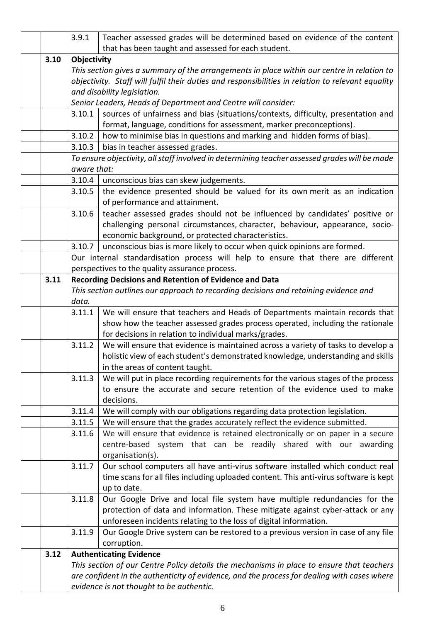|      | 3.9.1       | Teacher assessed grades will be determined based on evidence of the content                                                                      |
|------|-------------|--------------------------------------------------------------------------------------------------------------------------------------------------|
|      |             | that has been taught and assessed for each student.                                                                                              |
| 3.10 | Objectivity |                                                                                                                                                  |
|      |             | This section gives a summary of the arrangements in place within our centre in relation to                                                       |
|      |             | objectivity. Staff will fulfil their duties and responsibilities in relation to relevant equality                                                |
|      |             | and disability legislation.                                                                                                                      |
|      |             | Senior Leaders, Heads of Department and Centre will consider:                                                                                    |
|      | 3.10.1      | sources of unfairness and bias (situations/contexts, difficulty, presentation and                                                                |
|      | 3.10.2      | format, language, conditions for assessment, marker preconceptions).<br>how to minimise bias in questions and marking and hidden forms of bias). |
|      | 3.10.3      |                                                                                                                                                  |
|      |             | bias in teacher assessed grades.<br>To ensure objectivity, all staff involved in determining teacher assessed grades will be made                |
|      | aware that: |                                                                                                                                                  |
|      | 3.10.4      | unconscious bias can skew judgements.                                                                                                            |
|      | 3.10.5      | the evidence presented should be valued for its own merit as an indication                                                                       |
|      |             | of performance and attainment.                                                                                                                   |
|      | 3.10.6      | teacher assessed grades should not be influenced by candidates' positive or                                                                      |
|      |             | challenging personal circumstances, character, behaviour, appearance, socio-                                                                     |
|      |             | economic background, or protected characteristics.                                                                                               |
|      | 3.10.7      | unconscious bias is more likely to occur when quick opinions are formed.                                                                         |
|      |             | Our internal standardisation process will help to ensure that there are different                                                                |
|      |             | perspectives to the quality assurance process.                                                                                                   |
| 3.11 |             | Recording Decisions and Retention of Evidence and Data                                                                                           |
|      |             | This section outlines our approach to recording decisions and retaining evidence and                                                             |
|      | data.       |                                                                                                                                                  |
|      | 3.11.1      | We will ensure that teachers and Heads of Departments maintain records that                                                                      |
|      |             | show how the teacher assessed grades process operated, including the rationale                                                                   |
|      |             | for decisions in relation to individual marks/grades.                                                                                            |
|      | 3.11.2      | We will ensure that evidence is maintained across a variety of tasks to develop a                                                                |
|      |             | holistic view of each student's demonstrated knowledge, understanding and skills                                                                 |
|      | 3.11.3      | in the areas of content taught.<br>We will put in place recording requirements for the various stages of the process                             |
|      |             | to ensure the accurate and secure retention of the evidence used to make                                                                         |
|      |             | decisions.                                                                                                                                       |
|      | 3.11.4      | We will comply with our obligations regarding data protection legislation.                                                                       |
|      | 3.11.5      | We will ensure that the grades accurately reflect the evidence submitted.                                                                        |
|      | 3.11.6      | We will ensure that evidence is retained electronically or on paper in a secure                                                                  |
|      |             | centre-based system that can be readily shared with our awarding                                                                                 |
|      |             | organisation(s).                                                                                                                                 |
|      | 3.11.7      | Our school computers all have anti-virus software installed which conduct real                                                                   |
|      |             | time scans for all files including uploaded content. This anti-virus software is kept                                                            |
|      |             | up to date.                                                                                                                                      |
|      | 3.11.8      | Our Google Drive and local file system have multiple redundancies for the                                                                        |
|      |             | protection of data and information. These mitigate against cyber-attack or any                                                                   |
|      |             | unforeseen incidents relating to the loss of digital information.                                                                                |
|      | 3.11.9      | Our Google Drive system can be restored to a previous version in case of any file                                                                |
|      |             | corruption.                                                                                                                                      |
| 3.12 |             | <b>Authenticating Evidence</b>                                                                                                                   |
|      |             | This section of our Centre Policy details the mechanisms in place to ensure that teachers                                                        |
|      |             | are confident in the authenticity of evidence, and the process for dealing with cases where                                                      |
|      |             | evidence is not thought to be authentic.                                                                                                         |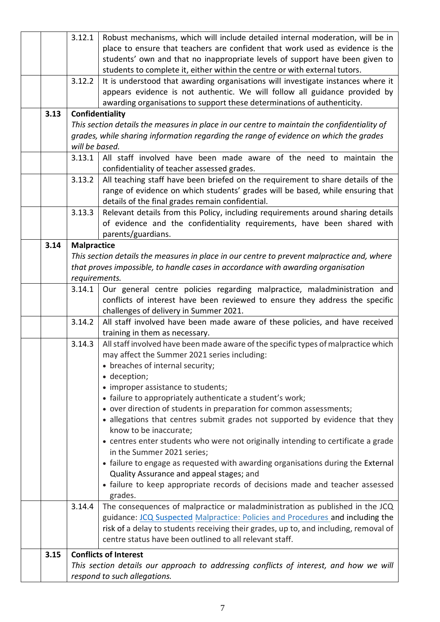|      | 3.12.1             | Robust mechanisms, which will include detailed internal moderation, will be in                                         |
|------|--------------------|------------------------------------------------------------------------------------------------------------------------|
|      |                    | place to ensure that teachers are confident that work used as evidence is the                                          |
|      |                    | students' own and that no inappropriate levels of support have been given to                                           |
|      |                    | students to complete it, either within the centre or with external tutors.                                             |
|      | 3.12.2             | It is understood that awarding organisations will investigate instances where it                                       |
|      |                    | appears evidence is not authentic. We will follow all guidance provided by                                             |
|      |                    | awarding organisations to support these determinations of authenticity.                                                |
| 3.13 |                    | Confidentiality                                                                                                        |
|      |                    | This section details the measures in place in our centre to maintain the confidentiality of                            |
|      |                    | grades, while sharing information regarding the range of evidence on which the grades                                  |
|      | will be based.     |                                                                                                                        |
|      | 3.13.1             | All staff involved have been made aware of the need to maintain the                                                    |
|      |                    | confidentiality of teacher assessed grades.                                                                            |
|      | 3.13.2             | All teaching staff have been briefed on the requirement to share details of the                                        |
|      |                    | range of evidence on which students' grades will be based, while ensuring that                                         |
|      |                    | details of the final grades remain confidential.                                                                       |
|      | 3.13.3             | Relevant details from this Policy, including requirements around sharing details                                       |
|      |                    | of evidence and the confidentiality requirements, have been shared with                                                |
|      |                    | parents/guardians.                                                                                                     |
| 3.14 | <b>Malpractice</b> |                                                                                                                        |
|      |                    | This section details the measures in place in our centre to prevent malpractice and, where                             |
|      |                    | that proves impossible, to handle cases in accordance with awarding organisation                                       |
|      | requirements.      |                                                                                                                        |
|      | 3.14.1             | Our general centre policies regarding malpractice, maladministration and                                               |
|      |                    | conflicts of interest have been reviewed to ensure they address the specific                                           |
|      | 3.14.2             | challenges of delivery in Summer 2021.<br>All staff involved have been made aware of these policies, and have received |
|      |                    | training in them as necessary.                                                                                         |
|      | 3.14.3             | All staff involved have been made aware of the specific types of malpractice which                                     |
|      |                    | may affect the Summer 2021 series including:                                                                           |
|      |                    | • breaches of internal security;                                                                                       |
|      |                    | • deception;                                                                                                           |
|      |                    | • improper assistance to students;                                                                                     |
|      |                    | • failure to appropriately authenticate a student's work;                                                              |
|      |                    | • over direction of students in preparation for common assessments;                                                    |
|      |                    | • allegations that centres submit grades not supported by evidence that they                                           |
|      |                    | know to be inaccurate;                                                                                                 |
|      |                    | • centres enter students who were not originally intending to certificate a grade                                      |
|      |                    | in the Summer 2021 series;                                                                                             |
|      |                    | • failure to engage as requested with awarding organisations during the External                                       |
|      |                    | Quality Assurance and appeal stages; and                                                                               |
|      |                    | • failure to keep appropriate records of decisions made and teacher assessed                                           |
|      |                    | grades.                                                                                                                |
|      | 3.14.4             | The consequences of malpractice or maladministration as published in the JCQ                                           |
|      |                    | guidance: JCQ Suspected Malpractice: Policies and Procedures and including the                                         |
|      |                    | risk of a delay to students receiving their grades, up to, and including, removal of                                   |
|      |                    | centre status have been outlined to all relevant staff.                                                                |
| 3.15 |                    | <b>Conflicts of Interest</b>                                                                                           |
|      |                    | This section details our approach to addressing conflicts of interest, and how we will                                 |
|      |                    | respond to such allegations.                                                                                           |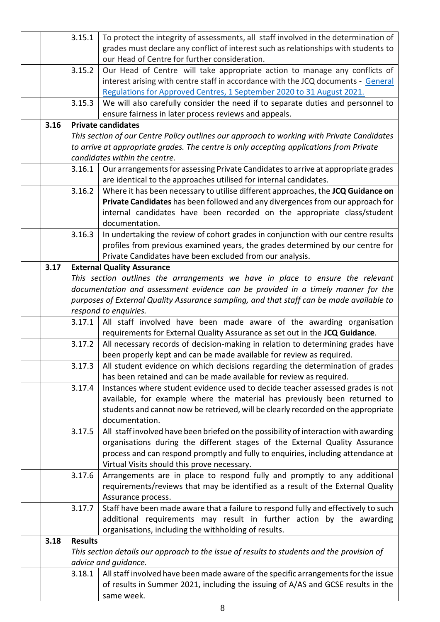|      | 3.15.1         | To protect the integrity of assessments, all staff involved in the determination of                                                                 |
|------|----------------|-----------------------------------------------------------------------------------------------------------------------------------------------------|
|      |                | grades must declare any conflict of interest such as relationships with students to                                                                 |
|      |                | our Head of Centre for further consideration.                                                                                                       |
|      | 3.15.2         | Our Head of Centre will take appropriate action to manage any conflicts of                                                                          |
|      |                | interest arising with centre staff in accordance with the JCQ documents - General                                                                   |
|      |                | Regulations for Approved Centres, 1 September 2020 to 31 August 2021.                                                                               |
|      | 3.15.3         | We will also carefully consider the need if to separate duties and personnel to                                                                     |
|      |                | ensure fairness in later process reviews and appeals.                                                                                               |
| 3.16 |                | <b>Private candidates</b>                                                                                                                           |
|      |                | This section of our Centre Policy outlines our approach to working with Private Candidates                                                          |
|      |                | to arrive at appropriate grades. The centre is only accepting applications from Private                                                             |
|      |                | candidates within the centre.                                                                                                                       |
|      | 3.16.1         | Our arrangements for assessing Private Candidates to arrive at appropriate grades                                                                   |
|      |                | are identical to the approaches utilised for internal candidates.                                                                                   |
|      | 3.16.2         | Where it has been necessary to utilise different approaches, the JCQ Guidance on                                                                    |
|      |                | Private Candidates has been followed and any divergences from our approach for                                                                      |
|      |                | internal candidates have been recorded on the appropriate class/student                                                                             |
|      |                | documentation.                                                                                                                                      |
|      | 3.16.3         | In undertaking the review of cohort grades in conjunction with our centre results                                                                   |
|      |                | profiles from previous examined years, the grades determined by our centre for                                                                      |
|      |                | Private Candidates have been excluded from our analysis.                                                                                            |
| 3.17 |                | <b>External Quality Assurance</b>                                                                                                                   |
|      |                | This section outlines the arrangements we have in place to ensure the relevant                                                                      |
|      |                | documentation and assessment evidence can be provided in a timely manner for the                                                                    |
|      |                | purposes of External Quality Assurance sampling, and that staff can be made available to                                                            |
|      |                | respond to enquiries.                                                                                                                               |
|      | 3.17.1         | All staff involved have been made aware of the awarding organisation<br>requirements for External Quality Assurance as set out in the JCQ Guidance. |
|      | 3.17.2         | All necessary records of decision-making in relation to determining grades have                                                                     |
|      |                | been properly kept and can be made available for review as required.                                                                                |
|      | 3.17.3         | All student evidence on which decisions regarding the determination of grades                                                                       |
|      |                | has been retained and can be made available for review as required.                                                                                 |
|      | 3.17.4         | Instances where student evidence used to decide teacher assessed grades is not                                                                      |
|      |                | available, for example where the material has previously been returned to                                                                           |
|      |                | students and cannot now be retrieved, will be clearly recorded on the appropriate                                                                   |
|      |                | documentation.                                                                                                                                      |
|      | 3.17.5         | All staff involved have been briefed on the possibility of interaction with awarding                                                                |
|      |                | organisations during the different stages of the External Quality Assurance                                                                         |
|      |                | process and can respond promptly and fully to enquiries, including attendance at                                                                    |
|      |                | Virtual Visits should this prove necessary.                                                                                                         |
|      | 3.17.6         | Arrangements are in place to respond fully and promptly to any additional                                                                           |
|      |                | requirements/reviews that may be identified as a result of the External Quality                                                                     |
|      | 3.17.7         | Assurance process.<br>Staff have been made aware that a failure to respond fully and effectively to such                                            |
|      |                | additional requirements may result in further action by the awarding                                                                                |
|      |                | organisations, including the withholding of results.                                                                                                |
| 3.18 | <b>Results</b> |                                                                                                                                                     |
|      |                | This section details our approach to the issue of results to students and the provision of                                                          |
|      |                | advice and guidance.                                                                                                                                |
|      | 3.18.1         | All staff involved have been made aware of the specific arrangements for the issue                                                                  |
|      |                | of results in Summer 2021, including the issuing of A/AS and GCSE results in the                                                                    |
|      |                | same week.                                                                                                                                          |